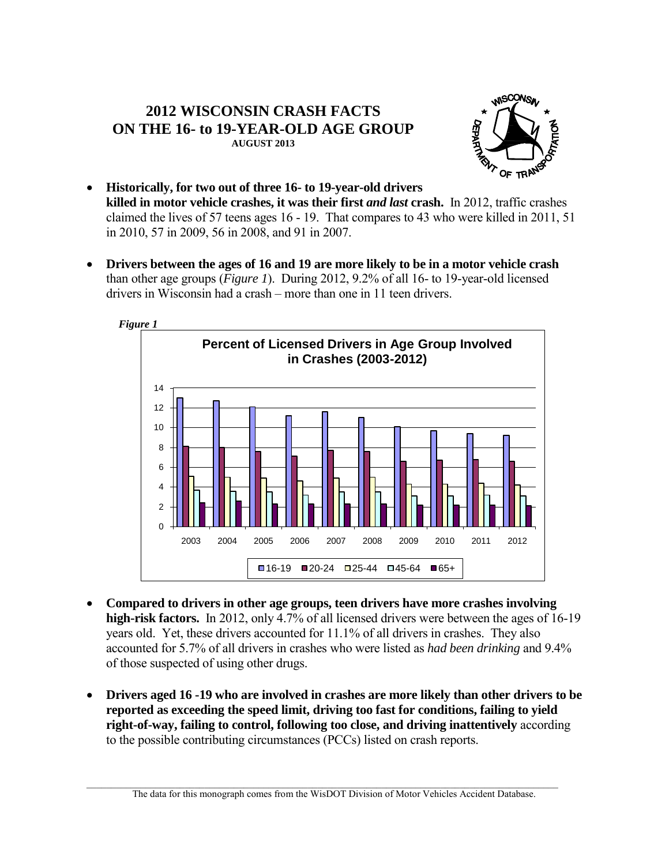## **2012 WISCONSIN CRASH FACTS ON THE 16- to 19-YEAR-OLD AGE GROUP AUGUST 2013**



- **Historically, for two out of three 16- to 19-year-old drivers killed in motor vehicle crashes, it was their first** *and last* **crash.** In 2012, traffic crashes claimed the lives of 57 teens ages 16 - 19. That compares to 43 who were killed in 2011, 51 in 2010, 57 in 2009, 56 in 2008, and 91 in 2007.
- **Drivers between the ages of 16 and 19 are more likely to be in a motor vehicle crash** than other age groups (*Figure 1*). During 2012, 9.2% of all 16- to 19-year-old licensed drivers in Wisconsin had a crash – more than one in 11 teen drivers.



- **Compared to drivers in other age groups, teen drivers have more crashes involving high-risk factors.** In 2012, only 4.7% of all licensed drivers were between the ages of 16-19 years old. Yet, these drivers accounted for 11.1% of all drivers in crashes. They also accounted for 5.7% of all drivers in crashes who were listed as *had been drinking* and 9.4% of those suspected of using other drugs.
- **Drivers aged 16 -19 who are involved in crashes are more likely than other drivers to be reported as exceeding the speed limit, driving too fast for conditions, failing to yield right-of-way, failing to control, following too close, and driving inattentively** according to the possible contributing circumstances (PCCs) listed on crash reports.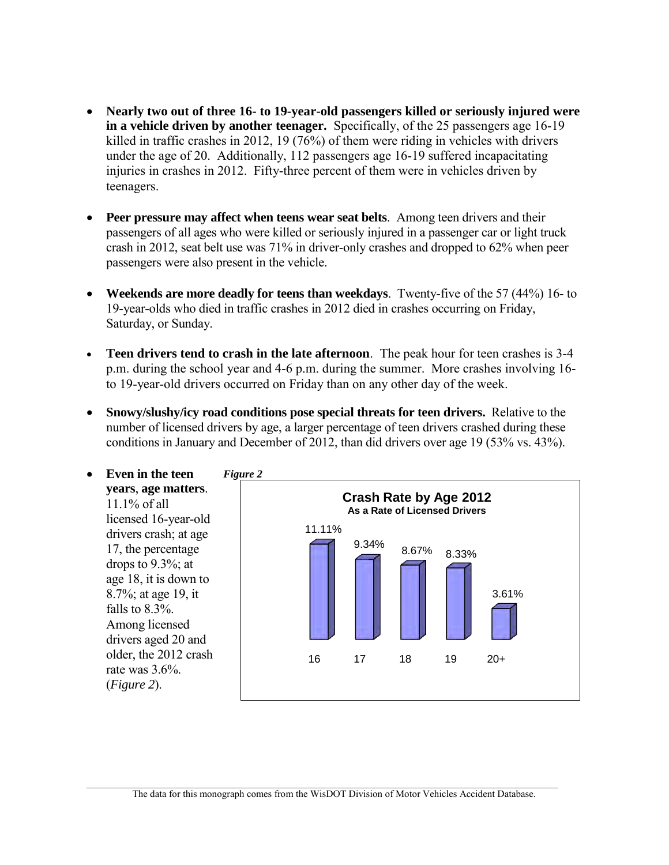- **Nearly two out of three 16- to 19-year-old passengers killed or seriously injured were in a vehicle driven by another teenager.** Specifically, of the 25 passengers age 16-19 killed in traffic crashes in 2012, 19 (76%) of them were riding in vehicles with drivers under the age of 20. Additionally, 112 passengers age 16-19 suffered incapacitating injuries in crashes in 2012. Fifty-three percent of them were in vehicles driven by teenagers.
- **Peer pressure may affect when teens wear seat belts**. Among teen drivers and their passengers of all ages who were killed or seriously injured in a passenger car or light truck crash in 2012, seat belt use was 71% in driver-only crashes and dropped to 62% when peer passengers were also present in the vehicle.
- **Weekends are more deadly for teens than weekdays**. Twenty-five of the 57 (44%) 16- to 19-year-olds who died in traffic crashes in 2012 died in crashes occurring on Friday, Saturday, or Sunday.
- **Teen drivers tend to crash in the late afternoon**. The peak hour for teen crashes is 3-4 p.m. during the school year and 4-6 p.m. during the summer. More crashes involving 16 to 19-year-old drivers occurred on Friday than on any other day of the week.
- **Snowy/slushy/icy road conditions pose special threats for teen drivers.** Relative to the number of licensed drivers by age, a larger percentage of teen drivers crashed during these conditions in January and December of 2012, than did drivers over age 19 (53% vs. 43%).

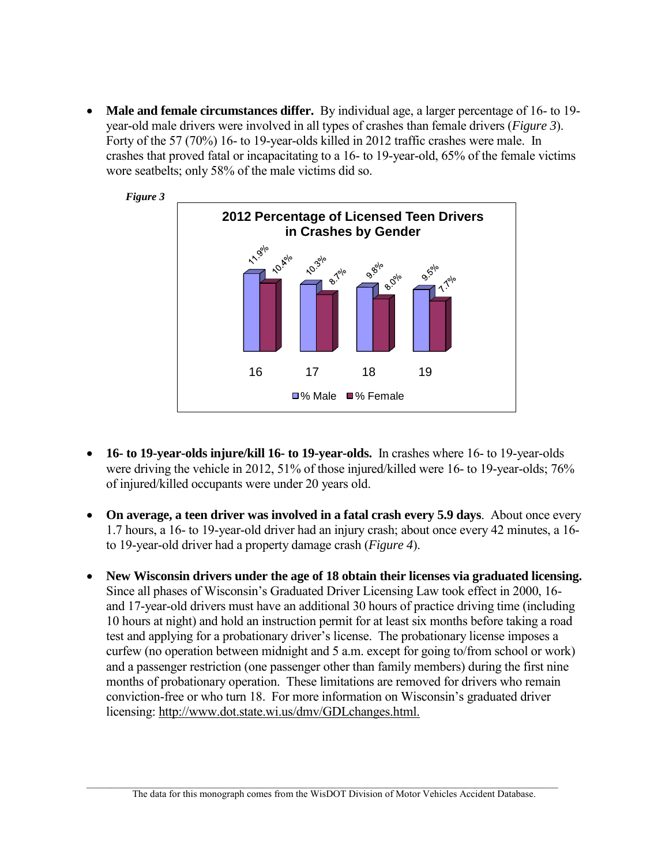**Male and female circumstances differ.** By individual age, a larger percentage of 16- to 19 year-old male drivers were involved in all types of crashes than female drivers (*Figure 3*). Forty of the 57 (70%) 16- to 19-year-olds killed in 2012 traffic crashes were male. In crashes that proved fatal or incapacitating to a 16- to 19-year-old, 65% of the female victims wore seatbelts; only 58% of the male victims did so.



- **16- to 19-year-olds injure/kill 16- to 19-year-olds.** In crashes where 16- to 19-year-olds were driving the vehicle in 2012, 51% of those injured/killed were 16- to 19-year-olds; 76% of injured/killed occupants were under 20 years old.
- **On average, a teen driver was involved in a fatal crash every 5.9 days**. About once every 1.7 hours, a 16- to 19-year-old driver had an injury crash; about once every 42 minutes, a 16 to 19-year-old driver had a property damage crash (*Figure 4*).
- **New Wisconsin drivers under the age of 18 obtain their licenses via graduated licensing.** Since all phases of Wisconsin's Graduated Driver Licensing Law took effect in 2000, 16 and 17-year-old drivers must have an additional 30 hours of practice driving time (including 10 hours at night) and hold an instruction permit for at least six months before taking a road test and applying for a probationary driver's license. The probationary license imposes a curfew (no operation between midnight and 5 a.m. except for going to/from school or work) and a passenger restriction (one passenger other than family members) during the first nine months of probationary operation. These limitations are removed for drivers who remain conviction-free or who turn 18. For more information on Wisconsin's graduated driver licensing: [http://www.dot.state.wi.us/dmv/GDLchanges.html.](http://www.dot.state.wi.us/dmv/GDLchanges.html)